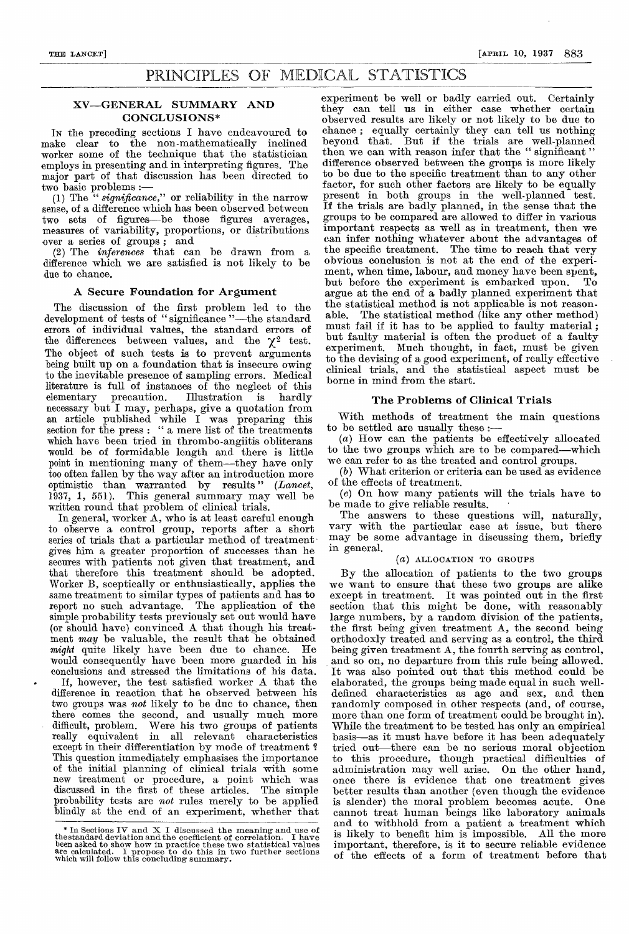# PRINCIPLES OF MEDICAL STATISTICS

## XV—GENERAL SUMMARY AND CONCLUSIONS\*

IN the preceding sections I have endeavoured to make clear to the non-mathematically inclined worker some of the technique that the statistician employs in presenting and in interpreting figures. The major part of that discussion has been directed to two basic problems :-

(1) The " significance," or reliability in the narrow sense, of a difference which has been observed between<br>two sets of figures—be those figures averages, measures of variability, proportions, or distributions over a series of groups; and

(2) The inferences that can be drawn from a difference which we are satisfied is not likely to be due to chance.

### A Secure Foundation for Argument

The discussion of the first problem led to the development of tests of "significance"-the standard errors of individual values, the standard errors of the differences between values, and the  $\chi^2$  test. The object of such tests is to prevent arguments being built up on a foundation that is insecure owing to the inevitable presence of sampling errors. Medical literature is full of instances of the neglect of this elementary precaution. Illustration is hardly elementary precaution. Illustration is hardly necessary but I may, perhaps, give a quotation from an article published while I was preparing this section for the press : " a mere list of the treatments which have been tried in thrombo-angiitis obliterans would be of formidable length and there is little point in mentioning many of them-they have only too often fallen by the way after an introduction more  $\text{optimistic} \quad \text{than} \quad \text{warranted} \quad \text{by} \quad \text{results} \quad \text{``} \quad (Lance_t,$ 1937, 1, 551). This general summary may well be written round that problem of clinical trials.

In general, worker A, who is at least careful enough to observe a control group, reports after a short series of trials that a particular method of treatment gives him a greater proportion of successes than he secures with patients not given that treatment, and that therefore this treatment should be adopted. Worker B, sceptically or enthusiastically, applies the same treatment to similar types of patients and has to report no such advantage. The application of the simple probability tests previously set out would have (or should have) convinced A that though his treatment may be valuable, the result that he obtained might quite likely have been due to chance. He would consequently have been more guarded in his conclusions and stressed the limitations of his data. If, however, the test satisfied worker A that the

difference in reaction that he observed between his two groups was not likely to be due to chance, then there comes the second, and usually much more difficult, problem. Were his two groups of patients really equivalent in all relevant characteristics except in their differentiation by mode of treatment ? This question immediately emphasises the importance of the initial planning of clinical trials with some new treatment or procedure, a point which was discussed in the first of these articles. The simple probability tests are not rules merely to be applied blindly at the end of an experiment, whether that

experiment be well or badly carried out. Certainly they can tell us in either case whether certain observed results are likely or not likely to be due to chance ; equally certainly they can tell us nothing beyond that. But if the trials are well-planned then we can with reason infer that the " significant" difference observed between the groups is more likely to be due to the specific treatment than to any other factor, for such other factors are likely to be equally present in both groups in the well-planned test. If the trials are badly planned, in the sense that the groups to be compared are allowed to differ in various important respects as well as in treatment, then we can infer nothing whatever about the advantages of the specific treatment. The time to reach that very obvious conclusion is not at the end of the experiment, when time, labour, and money have been spent,<br>but, before the experiment is embarked upon. To but before the experiment is embarked upon. argue at the end of a badly planned experiment that the statistical method is not applicable is not reasonable. The statistical method (like any other method) must fail if it has to be applied to faulty material; but faulty material is often the product of a faulty experiment. Much thought, in fact, must be given to the devising of a good experiment, of really effective clinical trials, and the statistical aspect must be borne in mind from the start.

### The Problems of Clinical Trials

With methods of treatment the main questions to be settled are usually these :-

(a) How can the patients be effectively allocated to the two groups which are to be compared-which we can refer to as the treated and control groups.

(b) What criterion or criteria can be used as evidence of the effects of treatment.

(c) On how many patients will the trials have to be made to give reliable results.

The answers to these questions will, naturally, vary with the particular case at issue, but there may be some advantage in discussing them, briefly in general.

## (a) ALLOCATION TO GROUPS

By the allocation of patients to the two groups we want to ensure that these two groups are alike except in treatment. It was pointed out in the first section that this might be done, with reasonably large numbers, by a random division of the patients, the first being given treatment A, the second being orthodoxly treated and serving as a control, the third being given treatment A, the fourth serving as control, and so on, no departure from this rule being allowed. It was also pointed out that this method could be elaborated, the groups being made equal in such welldefined characteristics as age and sex, and then randomly composed in other respects (and, of course, more than one form of treatment could be brought in). While the treatment to be tested has only an empirical basis-as it must have before it has been adequately tried out-there can be no serious moral objection to this procedure, though practical difficulties of administration may well arise. On the other hand, once there is evidence that one treatment gives better results than another (even though the evidence is slender) the moral problem becomes acute. One cannot treat human beings like laboratory animals and to withhold from a patient a treatment which is likely to benefit him is impossible. All the more important, therefore, is it to secure reliable evidence of the effects of a form of treatment before that

 $*$  In Sections IV and X I discussed the meaning and use of the standard deviation and the coefficient of correlation. I have been asked to show how in practice these two statistical values are calculated. I propose to do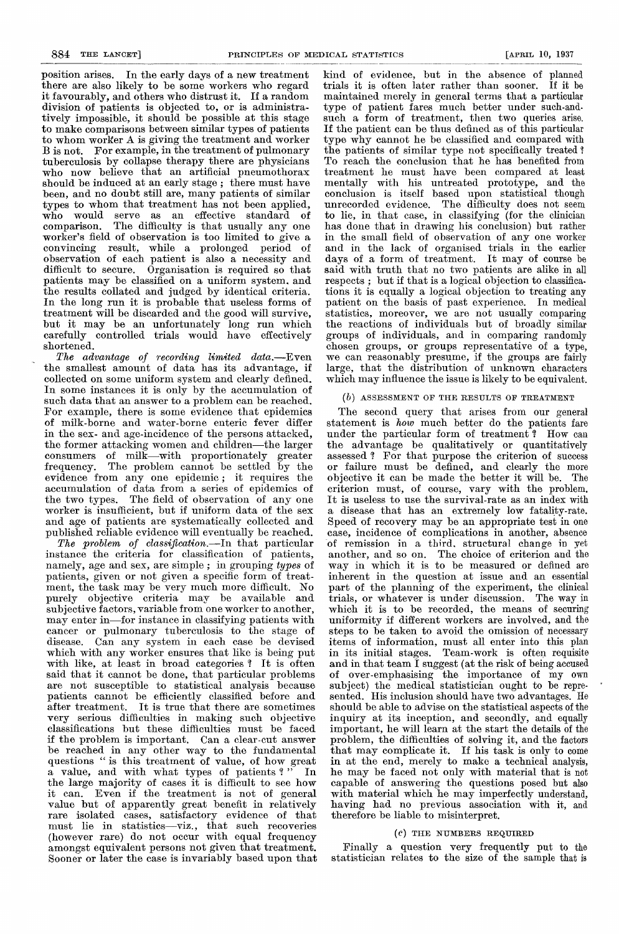,

position arises. In the early days of a new treatment<br>there are also likely to be some workers who regard it favourably, and others who distrust it. If a random division of patients is objected to, or is administratively impossible, it should be possible at this stage to make comparisons between similar types of patients to whom worker A is giving the treatment and worker B is not. For example, in the treatment of pulmonary tuberculosis by collapse therapy there are physicians who now believe that an artificial pneumothorax should be induced at an early stage ; there must have been, and no doubt still are, many patients of similar types to whom that treatment has not been applied, who would serve as an effective standard of comparison. The difficulty is that usually any one worker's field of observation is too limited to give a convincing result, while a prolonged period of observation of each patient is also a necessity and difficult to secure. Organisation is required so that patients may be classified on a uniform system, and the results collated and judged by identical criteria. In the long run it is probable that useless forms of treatment will be discarded and the good will survive, but it may be an unfortunately long run which carefully controlled trials would have effectively shortened.

 $The\ \ \ advantage\ \ \ of\ \ \ recording\ \ \ limited\ \ \ data. -Even$ the smallest amount of data has its advantage, if collected on some uniform system and clearly defined. In some instances it is only by the accumulation of such data that an answer to a problem can be reached. For example, there is some evidence that epidemics of milk-borne and water-borne enteric fever differ in the sex- and age-incidence of the persons attacked, the former attacking women and children—the larger the former attacking women and children-the larger consumers of milk-with proportionately greater frequency. The problem cannot be settled by the evidence from any one epidemic ; it requires the accumulation of data from a series of epidemics of the two types. The field of observation of any one worker is insufficient, but if uniform data of the sex and age of patients are systematically collected and published reliable evidence will eventually be reached.

The problem of classification.--In that particular instance the criteria for classification of patients, namely, age and sex, are simple ; in grouping types of patients, given or not given a specific form of treatment, the task may be very much more difficult. No purely objective criteria may be available and subjective factors, variable from one worker to another, may enter in-for instance in classifying patients with cancer or pulmonary tuberculosis to the stage of disease. Can any system in each case be devised which with any worker ensures that like is being put with like, at least in broad categories ? It is often said that it cannot be done, that particular problems are not susceptible to statistical analysis because patients cannot be efficiently classified before and after treatment. It is true that there are sometimes very serious difficulties in making such objective classifications but these difficulties must be faced if the problem is important. Can a clear-cut answer be reached in any other way to the fundamental questions " is this treatment of value, of how great a value, and with what types of patients " In the large majority of cases it is difficult to see how it can. Even if the treatment is not of general value but of apparently great benefit in relatively rare isolated cases, satisfactory evidence of that must lie in statistics-viz., that such recoveries (however rare) do not occur with equal frequency amongst equivalent persons not given that treatment. Sooner or later the case is invariably based upon that

kind of evidence, but in the absence of planned trials it is often later rather than sooner. If it be maintained merely in general terms that a particular type of patient fares much better under such-andsuch a form of treatment, then two queries arise. If the patient can be thus defined as of this particular type why cannot he be classified and compared with the patients of similar type not specifically treated? To reach the conclusion that he has benefited from treatment he must have been compared at least mentally with his untreated prototype, and the conclusion is itself based upon statistical though unrecorded evidence. The difficulty does not seem to lie, in that case, in classifying (for the clinician has done that in drawing his conclusion) but rather in the small field of observation of any one worker and in the lack of organised trials in the earlier days of a form of treatment. It may of course be said with truth that no two patients are alike in all respects ; but if that is a logical objection to classifications it is equally a logical objection to treating any patient on the basis of past experience. In medical statistics, moreover, we are not usually comparing the reactions of individuals but of broadly similar groups of individuals, and in comparing randomly chosen groups, or groups representative of a type. we can reasonably presume, if the groups are fairly large, that the distribution of unknown characters which may influence the issue is likely to be equivalent.

#### $(b)$  ASSESSMENT OF THE RESULTS OF TREATMENT

The second query that arises from our general statement is how much better do the patients fare under the particular form of treatment? How can the advantage be qualitatively or quantitatively assessed ? For that purpose the criterion of success or failure must be defined, and clearly the more objective it can be made the better it will be. The criterion must, of course, vary with the problem. It is useless to use the survival-rate as an index with a disease that has an extremely low fatality-rate. Speed of recovery may be an appropriate test in one case, incidence of complications in another, absence of remission in a third, structural change in yet The choice of criterion and the way in which it is to be measured or defined are inherent in the question at issue and an essential part of the planning of the experiment, the clinical trials, or whatever is under discussion. The way in which it is to be recorded, the means of securing uniformity if different workers are involved, and the steps to be taken to avoid the omission of necessary items of information, must all enter into this plan in its initial stages. Team-work is often requisite and in that team I suggest (at the risk of being accused of over-emphasising the importance of my own subject) the medical statistician ought to be represented. His inclusion should have two advantages. He should be able to advise on the statistical aspects of the inquiry at its inception, and secondly, and equally important, he will learn at the start the details of the problem, the difficulties of solving it, and the factors that may complicate it. If his task is only to come in at the end, merely to make a technical analysis, he may be faced not only with material that is not capable of answering the questions posed but also with material which he may imperfectly understand, having had no previous association with it, and therefore be liable to misinterpret.

#### (c) THE NUMBERS REQUIRED

Finally a question very frequently put to the statistician relates to the size of the sample that is